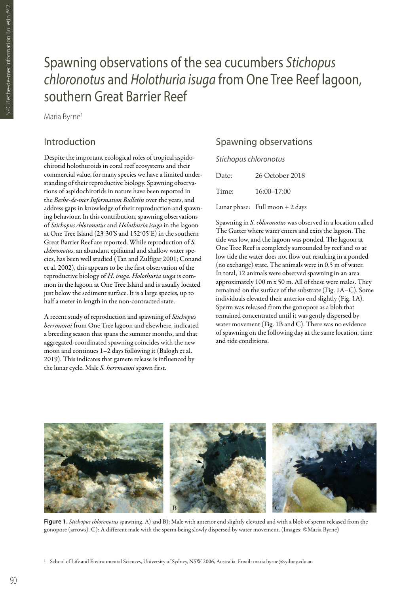# Spawning observations of the sea cucumbers *Stichopus chloronotus* and *Holothuria isuga* from One Tree Reef lagoon, southern Great Barrier Reef

Maria Byrne<sup>1</sup>

# Introduction

Despite the important ecological roles of tropical aspidochirotid holothuroids in coral reef ecosystems and their commercial value, for many species we have a limited understanding of their reproductive biology. Spawning observations of aspidochirotids in nature have been reported in the *Beche-de-mer Information Bulletin* over the years, and address gaps in knowledge of their reproduction and spawning behaviour. In this contribution, spawning observations of *Stichopus chloronotus* and *Holothuria isuga* in the lagoon at One Tree Island (23°30'S and 152°05'E) in the southern Great Barrier Reef are reported. While reproduction of *S. chloronotus*, an abundant epifaunal and shallow water species, has been well studied (Tan and Zulfigar 2001; Conand et al. 2002), this appears to be the first observation of the reproductive biology of *H. isuga*. *Holothuria isuga* is common in the lagoon at One Tree Island and is usually located just below the sediment surface. It is a large species, up to half a meter in length in the non-contracted state.

A recent study of reproduction and spawning of *Stichopus herrmanni* from One Tree lagoon and elsewhere, indicated a breeding season that spans the summer months, and that aggregated-coordinated spawning coincides with the new moon and continues 1–2 days following it (Balogh et al. 2019). This indicates that gamete release is influenced by the lunar cycle. Male *S. herrmanni* spawn first.

# Spawning observations

#### *Stichopus chloronotus*

| Date: | 26 October 2018                  |
|-------|----------------------------------|
| Time: | $16:00 - 17:00$                  |
|       | Lunar phase: Full moon $+2$ days |

Spawning in *S. chloronotus* was observed in a location called The Gutter where water enters and exits the lagoon. The tide was low, and the lagoon was ponded. The lagoon at One Tree Reef is completely surrounded by reef and so at low tide the water does not flow out resulting in a ponded (no exchange) state. The animals were in 0.5 m of water. In total, 12 animals were observed spawning in an area approximately 100 m x 50 m. All of these were males. They remained on the surface of the substrate (Fig. 1A–C). Some individuals elevated their anterior end slightly (Fig. 1A). Sperm was released from the gonopore as a blob that remained concentrated until it was gently dispersed by water movement (Fig. 1B and C). There was no evidence of spawning on the following day at the same location, time and tide conditions.



Figure 1. *Stichopus chloronotus* spawning. A) and B): Male with anterior end slightly elevated and with a blob of sperm released from the gonopore (arrows). C): A different male with the sperm being slowly dispersed by water movement. (Images: ©Maria Byrne)